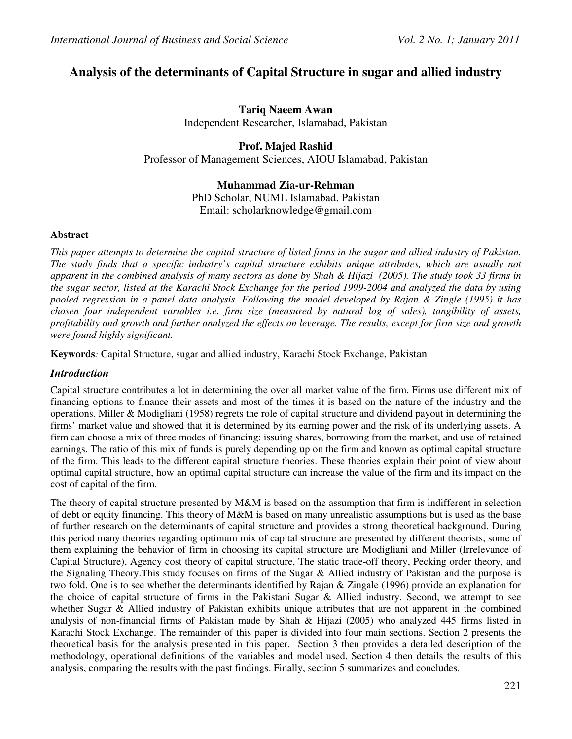# **Analysis of the determinants of Capital Structure in sugar and allied industry**

**Tariq Naeem Awan**  Independent Researcher, Islamabad, Pakistan

# **Prof. Majed Rashid**

Professor of Management Sciences, AIOU Islamabad, Pakistan

# **Muhammad Zia-ur-Rehman**

PhD Scholar, NUML Islamabad, Pakistan Email: scholarknowledge@gmail.com

#### **Abstract**

*This paper attempts to determine the capital structure of listed firms in the sugar and allied industry of Pakistan. The study finds that a specific industry's capital structure exhibits unique attributes, which are usually not apparent in the combined analysis of many sectors as done by Shah & Hijazi (2005). The study took 33 firms in the sugar sector, listed at the Karachi Stock Exchange for the period 1999-2004 and analyzed the data by using pooled regression in a panel data analysis. Following the model developed by Rajan & Zingle (1995) it has chosen four independent variables i.e. firm size (measured by natural log of sales), tangibility of assets, profitability and growth and further analyzed the effects on leverage. The results, except for firm size and growth were found highly significant.* 

**Keywords***:* Capital Structure, sugar and allied industry, Karachi Stock Exchange, Pakistan

# *Introduction*

Capital structure contributes a lot in determining the over all market value of the firm. Firms use different mix of financing options to finance their assets and most of the times it is based on the nature of the industry and the operations. Miller & Modigliani (1958) regrets the role of capital structure and dividend payout in determining the firms' market value and showed that it is determined by its earning power and the risk of its underlying assets. A firm can choose a mix of three modes of financing: issuing shares, borrowing from the market, and use of retained earnings. The ratio of this mix of funds is purely depending up on the firm and known as optimal capital structure of the firm. This leads to the different capital structure theories. These theories explain their point of view about optimal capital structure, how an optimal capital structure can increase the value of the firm and its impact on the cost of capital of the firm.

The theory of capital structure presented by M&M is based on the assumption that firm is indifferent in selection of debt or equity financing. This theory of M&M is based on many unrealistic assumptions but is used as the base of further research on the determinants of capital structure and provides a strong theoretical background. During this period many theories regarding optimum mix of capital structure are presented by different theorists, some of them explaining the behavior of firm in choosing its capital structure are Modigliani and Miller (Irrelevance of Capital Structure), Agency cost theory of capital structure, The static trade-off theory, Pecking order theory, and the Signaling Theory.This study focuses on firms of the Sugar & Allied industry of Pakistan and the purpose is two fold. One is to see whether the determinants identified by Rajan & Zingale (1996) provide an explanation for the choice of capital structure of firms in the Pakistani Sugar & Allied industry. Second, we attempt to see whether Sugar & Allied industry of Pakistan exhibits unique attributes that are not apparent in the combined analysis of non-financial firms of Pakistan made by Shah & Hijazi (2005) who analyzed 445 firms listed in Karachi Stock Exchange. The remainder of this paper is divided into four main sections. Section 2 presents the theoretical basis for the analysis presented in this paper. Section 3 then provides a detailed description of the methodology, operational definitions of the variables and model used. Section 4 then details the results of this analysis, comparing the results with the past findings. Finally, section 5 summarizes and concludes.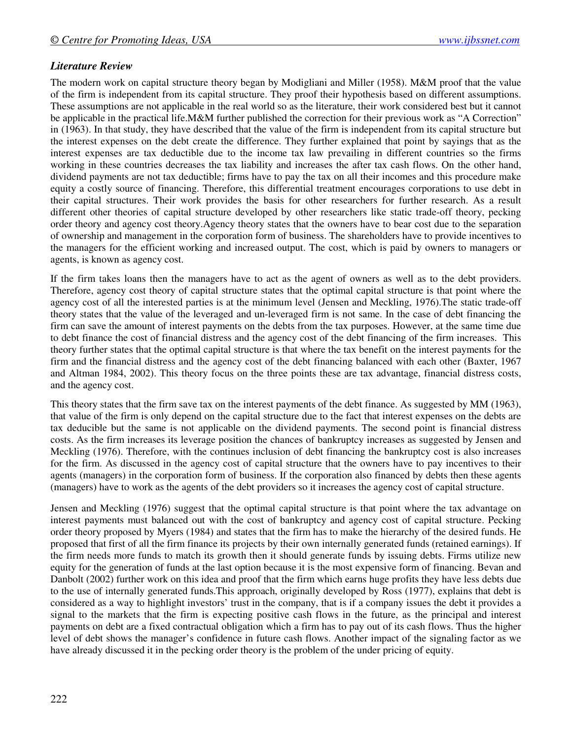## *Literature Review*

The modern work on capital structure theory began by Modigliani and Miller (1958). M&M proof that the value of the firm is independent from its capital structure. They proof their hypothesis based on different assumptions. These assumptions are not applicable in the real world so as the literature, their work considered best but it cannot be applicable in the practical life.M&M further published the correction for their previous work as "A Correction" in (1963). In that study, they have described that the value of the firm is independent from its capital structure but the interest expenses on the debt create the difference. They further explained that point by sayings that as the interest expenses are tax deductible due to the income tax law prevailing in different countries so the firms working in these countries decreases the tax liability and increases the after tax cash flows. On the other hand, dividend payments are not tax deductible; firms have to pay the tax on all their incomes and this procedure make equity a costly source of financing. Therefore, this differential treatment encourages corporations to use debt in their capital structures. Their work provides the basis for other researchers for further research. As a result different other theories of capital structure developed by other researchers like static trade-off theory, pecking order theory and agency cost theory.Agency theory states that the owners have to bear cost due to the separation of ownership and management in the corporation form of business. The shareholders have to provide incentives to the managers for the efficient working and increased output. The cost, which is paid by owners to managers or agents, is known as agency cost.

If the firm takes loans then the managers have to act as the agent of owners as well as to the debt providers. Therefore, agency cost theory of capital structure states that the optimal capital structure is that point where the agency cost of all the interested parties is at the minimum level (Jensen and Meckling, 1976).The static trade-off theory states that the value of the leveraged and un-leveraged firm is not same. In the case of debt financing the firm can save the amount of interest payments on the debts from the tax purposes. However, at the same time due to debt finance the cost of financial distress and the agency cost of the debt financing of the firm increases. This theory further states that the optimal capital structure is that where the tax benefit on the interest payments for the firm and the financial distress and the agency cost of the debt financing balanced with each other (Baxter, 1967 and Altman 1984, 2002). This theory focus on the three points these are tax advantage, financial distress costs, and the agency cost.

This theory states that the firm save tax on the interest payments of the debt finance. As suggested by MM (1963), that value of the firm is only depend on the capital structure due to the fact that interest expenses on the debts are tax deducible but the same is not applicable on the dividend payments. The second point is financial distress costs. As the firm increases its leverage position the chances of bankruptcy increases as suggested by Jensen and Meckling (1976). Therefore, with the continues inclusion of debt financing the bankruptcy cost is also increases for the firm. As discussed in the agency cost of capital structure that the owners have to pay incentives to their agents (managers) in the corporation form of business. If the corporation also financed by debts then these agents (managers) have to work as the agents of the debt providers so it increases the agency cost of capital structure.

Jensen and Meckling (1976) suggest that the optimal capital structure is that point where the tax advantage on interest payments must balanced out with the cost of bankruptcy and agency cost of capital structure. Pecking order theory proposed by Myers (1984) and states that the firm has to make the hierarchy of the desired funds. He proposed that first of all the firm finance its projects by their own internally generated funds (retained earnings). If the firm needs more funds to match its growth then it should generate funds by issuing debts. Firms utilize new equity for the generation of funds at the last option because it is the most expensive form of financing. Bevan and Danbolt (2002) further work on this idea and proof that the firm which earns huge profits they have less debts due to the use of internally generated funds.This approach, originally developed by Ross (1977), explains that debt is considered as a way to highlight investors' trust in the company, that is if a company issues the debt it provides a signal to the markets that the firm is expecting positive cash flows in the future, as the principal and interest payments on debt are a fixed contractual obligation which a firm has to pay out of its cash flows. Thus the higher level of debt shows the manager's confidence in future cash flows. Another impact of the signaling factor as we have already discussed it in the pecking order theory is the problem of the under pricing of equity.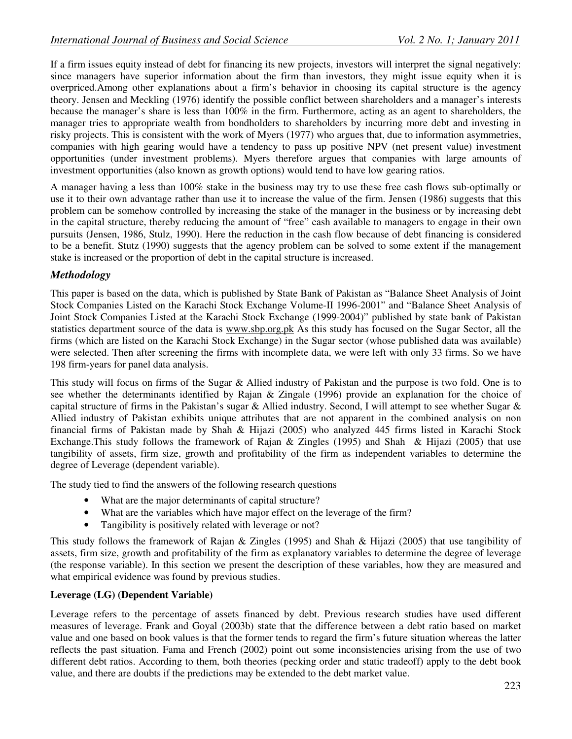If a firm issues equity instead of debt for financing its new projects, investors will interpret the signal negatively: since managers have superior information about the firm than investors, they might issue equity when it is overpriced.Among other explanations about a firm's behavior in choosing its capital structure is the agency theory. Jensen and Meckling (1976) identify the possible conflict between shareholders and a manager's interests because the manager's share is less than 100% in the firm. Furthermore, acting as an agent to shareholders, the manager tries to appropriate wealth from bondholders to shareholders by incurring more debt and investing in risky projects. This is consistent with the work of Myers (1977) who argues that, due to information asymmetries, companies with high gearing would have a tendency to pass up positive NPV (net present value) investment opportunities (under investment problems). Myers therefore argues that companies with large amounts of investment opportunities (also known as growth options) would tend to have low gearing ratios.

A manager having a less than 100% stake in the business may try to use these free cash flows sub-optimally or use it to their own advantage rather than use it to increase the value of the firm. Jensen (1986) suggests that this problem can be somehow controlled by increasing the stake of the manager in the business or by increasing debt in the capital structure, thereby reducing the amount of "free" cash available to managers to engage in their own pursuits (Jensen, 1986, Stulz, 1990). Here the reduction in the cash flow because of debt financing is considered to be a benefit. Stutz (1990) suggests that the agency problem can be solved to some extent if the management stake is increased or the proportion of debt in the capital structure is increased.

# *Methodology*

This paper is based on the data, which is published by State Bank of Pakistan as "Balance Sheet Analysis of Joint Stock Companies Listed on the Karachi Stock Exchange Volume-II 1996-2001" and "Balance Sheet Analysis of Joint Stock Companies Listed at the Karachi Stock Exchange (1999-2004)" published by state bank of Pakistan statistics department source of the data is www.sbp.org.pk As this study has focused on the Sugar Sector, all the firms (which are listed on the Karachi Stock Exchange) in the Sugar sector (whose published data was available) were selected. Then after screening the firms with incomplete data, we were left with only 33 firms. So we have 198 firm-years for panel data analysis.

This study will focus on firms of the Sugar & Allied industry of Pakistan and the purpose is two fold. One is to see whether the determinants identified by Rajan & Zingale (1996) provide an explanation for the choice of capital structure of firms in the Pakistan's sugar & Allied industry. Second, I will attempt to see whether Sugar & Allied industry of Pakistan exhibits unique attributes that are not apparent in the combined analysis on non financial firms of Pakistan made by Shah & Hijazi (2005) who analyzed 445 firms listed in Karachi Stock Exchange.This study follows the framework of Rajan & Zingles (1995) and Shah & Hijazi (2005) that use tangibility of assets, firm size, growth and profitability of the firm as independent variables to determine the degree of Leverage (dependent variable).

The study tied to find the answers of the following research questions

- What are the major determinants of capital structure?
- What are the variables which have major effect on the leverage of the firm?
- Tangibility is positively related with leverage or not?

This study follows the framework of Rajan & Zingles (1995) and Shah & Hijazi (2005) that use tangibility of assets, firm size, growth and profitability of the firm as explanatory variables to determine the degree of leverage (the response variable). In this section we present the description of these variables, how they are measured and what empirical evidence was found by previous studies.

#### **Leverage (LG) (Dependent Variable)**

Leverage refers to the percentage of assets financed by debt. Previous research studies have used different measures of leverage. Frank and Goyal (2003b) state that the difference between a debt ratio based on market value and one based on book values is that the former tends to regard the firm's future situation whereas the latter reflects the past situation. Fama and French (2002) point out some inconsistencies arising from the use of two different debt ratios. According to them, both theories (pecking order and static tradeoff) apply to the debt book value, and there are doubts if the predictions may be extended to the debt market value.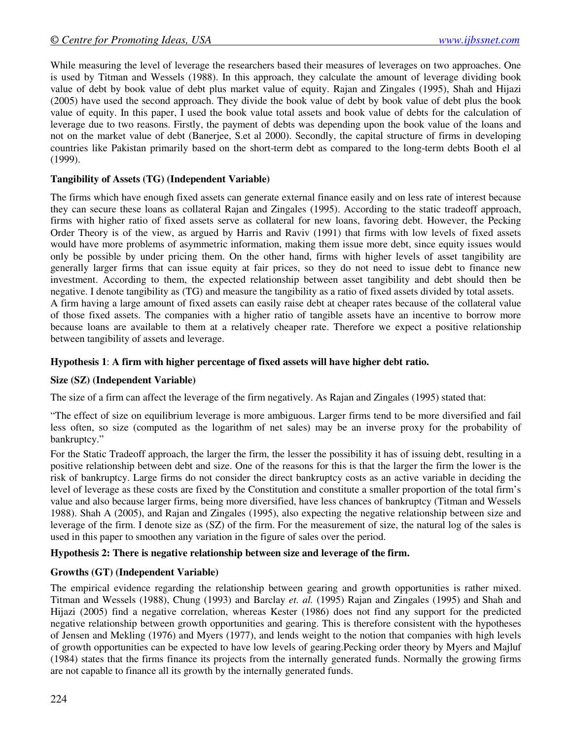While measuring the level of leverage the researchers based their measures of leverages on two approaches. One is used by Titman and Wessels (1988). In this approach, they calculate the amount of leverage dividing book value of debt by book value of debt plus market value of equity. Rajan and Zingales (1995), Shah and Hijazi (2005) have used the second approach. They divide the book value of debt by book value of debt plus the book value of equity. In this paper, I used the book value total assets and book value of debts for the calculation of leverage due to two reasons. Firstly, the payment of debts was depending upon the book value of the loans and not on the market value of debt (Banerjee, S.et al 2000). Secondly, the capital structure of firms in developing countries like Pakistan primarily based on the short-term debt as compared to the long-term debts Booth el al (1999).

## **Tangibility of Assets (TG) (Independent Variable)**

The firms which have enough fixed assets can generate external finance easily and on less rate of interest because they can secure these loans as collateral Rajan and Zingales (1995). According to the static tradeoff approach, firms with higher ratio of fixed assets serve as collateral for new loans, favoring debt. However, the Pecking Order Theory is of the view, as argued by Harris and Raviv (1991) that firms with low levels of fixed assets would have more problems of asymmetric information, making them issue more debt, since equity issues would only be possible by under pricing them. On the other hand, firms with higher levels of asset tangibility are generally larger firms that can issue equity at fair prices, so they do not need to issue debt to finance new investment. According to them, the expected relationship between asset tangibility and debt should then be negative. I denote tangibility as (TG) and measure the tangibility as a ratio of fixed assets divided by total assets. A firm having a large amount of fixed assets can easily raise debt at cheaper rates because of the collateral value of those fixed assets. The companies with a higher ratio of tangible assets have an incentive to borrow more because loans are available to them at a relatively cheaper rate. Therefore we expect a positive relationship between tangibility of assets and leverage.

## **Hypothesis 1**: **A firm with higher percentage of fixed assets will have higher debt ratio.**

#### **Size (SZ) (Independent Variable)**

The size of a firm can affect the leverage of the firm negatively. As Rajan and Zingales (1995) stated that:

"The effect of size on equilibrium leverage is more ambiguous. Larger firms tend to be more diversified and fail less often, so size (computed as the logarithm of net sales) may be an inverse proxy for the probability of bankruptcy."

For the Static Tradeoff approach, the larger the firm, the lesser the possibility it has of issuing debt, resulting in a positive relationship between debt and size. One of the reasons for this is that the larger the firm the lower is the risk of bankruptcy. Large firms do not consider the direct bankruptcy costs as an active variable in deciding the level of leverage as these costs are fixed by the Constitution and constitute a smaller proportion of the total firm's value and also because larger firms, being more diversified, have less chances of bankruptcy (Titman and Wessels 1988). Shah A (2005), and Rajan and Zingales (1995), also expecting the negative relationship between size and leverage of the firm. I denote size as (SZ) of the firm. For the measurement of size, the natural log of the sales is used in this paper to smoothen any variation in the figure of sales over the period.

#### **Hypothesis 2: There is negative relationship between size and leverage of the firm.**

#### **Growths (GT) (Independent Variable)**

The empirical evidence regarding the relationship between gearing and growth opportunities is rather mixed. Titman and Wessels (1988), Chung (1993) and Barclay *et. al.* (1995) Rajan and Zingales (1995) and Shah and Hijazi (2005) find a negative correlation, whereas Kester (1986) does not find any support for the predicted negative relationship between growth opportunities and gearing. This is therefore consistent with the hypotheses of Jensen and Mekling (1976) and Myers (1977), and lends weight to the notion that companies with high levels of growth opportunities can be expected to have low levels of gearing.Pecking order theory by Myers and Majluf (1984) states that the firms finance its projects from the internally generated funds. Normally the growing firms are not capable to finance all its growth by the internally generated funds.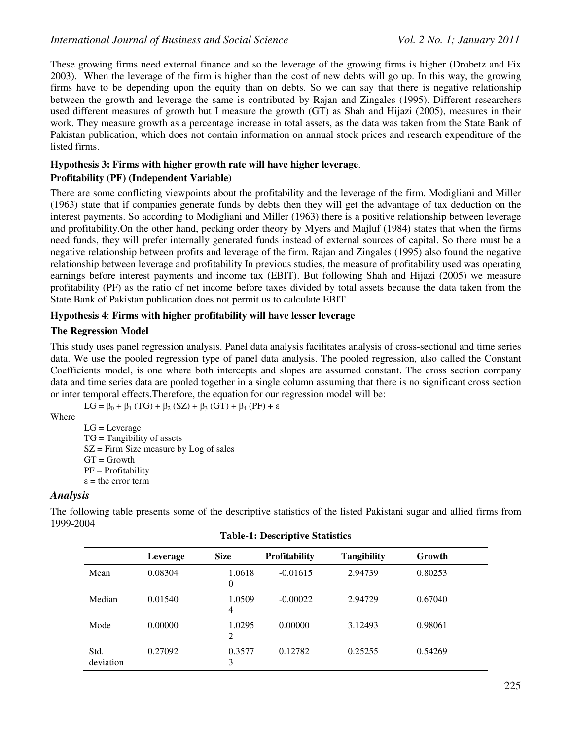These growing firms need external finance and so the leverage of the growing firms is higher (Drobetz and Fix 2003). When the leverage of the firm is higher than the cost of new debts will go up. In this way, the growing firms have to be depending upon the equity than on debts. So we can say that there is negative relationship between the growth and leverage the same is contributed by Rajan and Zingales (1995). Different researchers used different measures of growth but I measure the growth (GT) as Shah and Hijazi (2005), measures in their work. They measure growth as a percentage increase in total assets, as the data was taken from the State Bank of Pakistan publication, which does not contain information on annual stock prices and research expenditure of the listed firms.

# **Hypothesis 3: Firms with higher growth rate will have higher leverage**.

#### **Profitability (PF) (Independent Variable)**

There are some conflicting viewpoints about the profitability and the leverage of the firm. Modigliani and Miller (1963) state that if companies generate funds by debts then they will get the advantage of tax deduction on the interest payments. So according to Modigliani and Miller (1963) there is a positive relationship between leverage and profitability.On the other hand, pecking order theory by Myers and Majluf (1984) states that when the firms need funds, they will prefer internally generated funds instead of external sources of capital. So there must be a negative relationship between profits and leverage of the firm. Rajan and Zingales (1995) also found the negative relationship between leverage and profitability In previous studies, the measure of profitability used was operating earnings before interest payments and income tax (EBIT). But following Shah and Hijazi (2005) we measure profitability (PF) as the ratio of net income before taxes divided by total assets because the data taken from the State Bank of Pakistan publication does not permit us to calculate EBIT.

## **Hypothesis 4**: **Firms with higher profitability will have lesser leverage**

## **The Regression Model**

This study uses panel regression analysis. Panel data analysis facilitates analysis of cross-sectional and time series data. We use the pooled regression type of panel data analysis. The pooled regression, also called the Constant Coefficients model, is one where both intercepts and slopes are assumed constant. The cross section company data and time series data are pooled together in a single column assuming that there is no significant cross section or inter temporal effects.Therefore, the equation for our regression model will be:

```
LG = \beta_0 + \beta_1 (TG) + \beta_2 (SZ) + \beta_3 (GT) + \beta_4 (PF) + \varepsilon
```
Where

LG = Leverage TG = Tangibility of assets  $SZ =$  Firm Size measure by Log of sales  $GT = Growth$ PF = Profitability  $\varepsilon$  = the error term

# *Analysis*

The following table presents some of the descriptive statistics of the listed Pakistani sugar and allied firms from 1999-2004

|                   | Leverage | <b>Size</b>              | <b>Profitability</b> | <b>Tangibility</b> | Growth  |
|-------------------|----------|--------------------------|----------------------|--------------------|---------|
| Mean              | 0.08304  | 1.0618<br>$\theta$       | $-0.01615$           | 2.94739            | 0.80253 |
| Median            | 0.01540  | 1.0509<br>$\overline{4}$ | $-0.00022$           | 2.94729            | 0.67040 |
| Mode              | 0.00000  | 1.0295<br>2              | 0.00000              | 3.12493            | 0.98061 |
| Std.<br>deviation | 0.27092  | 0.3577<br>3              | 0.12782              | 0.25255            | 0.54269 |

#### **Table-1: Descriptive Statistics**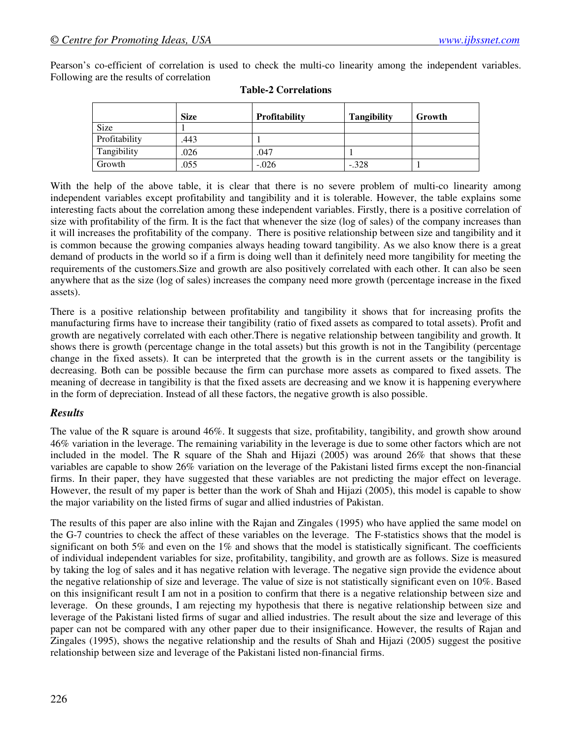Pearson's co-efficient of correlation is used to check the multi-co linearity among the independent variables. Following are the results of correlation

|               | <b>Size</b> | <b>Profitability</b> | <b>Tangibility</b> | Growth |
|---------------|-------------|----------------------|--------------------|--------|
| Size          |             |                      |                    |        |
| Profitability | .443        |                      |                    |        |
| Tangibility   | .026        | .047                 |                    |        |
| Growth        | .055        | $-.026$              | $-.328$            |        |

#### **Table-2 Correlations**

With the help of the above table, it is clear that there is no severe problem of multi-co linearity among independent variables except profitability and tangibility and it is tolerable. However, the table explains some interesting facts about the correlation among these independent variables. Firstly, there is a positive correlation of size with profitability of the firm. It is the fact that whenever the size (log of sales) of the company increases than it will increases the profitability of the company. There is positive relationship between size and tangibility and it is common because the growing companies always heading toward tangibility. As we also know there is a great demand of products in the world so if a firm is doing well than it definitely need more tangibility for meeting the requirements of the customers.Size and growth are also positively correlated with each other. It can also be seen anywhere that as the size (log of sales) increases the company need more growth (percentage increase in the fixed assets).

There is a positive relationship between profitability and tangibility it shows that for increasing profits the manufacturing firms have to increase their tangibility (ratio of fixed assets as compared to total assets). Profit and growth are negatively correlated with each other.There is negative relationship between tangibility and growth. It shows there is growth (percentage change in the total assets) but this growth is not in the Tangibility (percentage change in the fixed assets). It can be interpreted that the growth is in the current assets or the tangibility is decreasing. Both can be possible because the firm can purchase more assets as compared to fixed assets. The meaning of decrease in tangibility is that the fixed assets are decreasing and we know it is happening everywhere in the form of depreciation. Instead of all these factors, the negative growth is also possible.

# *Results*

The value of the R square is around 46%. It suggests that size, profitability, tangibility, and growth show around 46% variation in the leverage. The remaining variability in the leverage is due to some other factors which are not included in the model. The R square of the Shah and Hijazi (2005) was around 26% that shows that these variables are capable to show 26% variation on the leverage of the Pakistani listed firms except the non-financial firms. In their paper, they have suggested that these variables are not predicting the major effect on leverage. However, the result of my paper is better than the work of Shah and Hijazi (2005), this model is capable to show the major variability on the listed firms of sugar and allied industries of Pakistan.

The results of this paper are also inline with the Rajan and Zingales (1995) who have applied the same model on the G-7 countries to check the affect of these variables on the leverage. The F-statistics shows that the model is significant on both 5% and even on the 1% and shows that the model is statistically significant. The coefficients of individual independent variables for size, profitability, tangibility, and growth are as follows. Size is measured by taking the log of sales and it has negative relation with leverage. The negative sign provide the evidence about the negative relationship of size and leverage. The value of size is not statistically significant even on 10%. Based on this insignificant result I am not in a position to confirm that there is a negative relationship between size and leverage. On these grounds, I am rejecting my hypothesis that there is negative relationship between size and leverage of the Pakistani listed firms of sugar and allied industries. The result about the size and leverage of this paper can not be compared with any other paper due to their insignificance. However, the results of Rajan and Zingales (1995), shows the negative relationship and the results of Shah and Hijazi (2005) suggest the positive relationship between size and leverage of the Pakistani listed non-financial firms.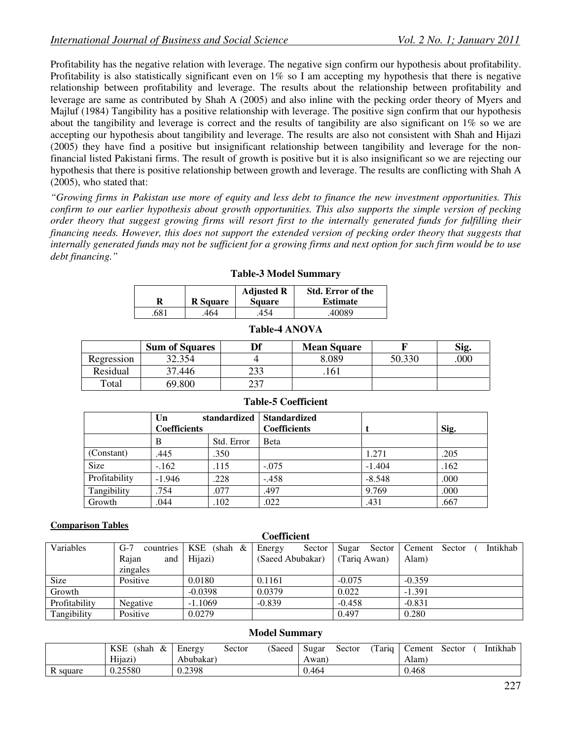Profitability has the negative relation with leverage. The negative sign confirm our hypothesis about profitability. Profitability is also statistically significant even on  $1\%$  so I am accepting my hypothesis that there is negative relationship between profitability and leverage. The results about the relationship between profitability and leverage are same as contributed by Shah A (2005) and also inline with the pecking order theory of Myers and Majluf (1984) Tangibility has a positive relationship with leverage. The positive sign confirm that our hypothesis about the tangibility and leverage is correct and the results of tangibility are also significant on 1% so we are accepting our hypothesis about tangibility and leverage. The results are also not consistent with Shah and Hijazi (2005) they have find a positive but insignificant relationship between tangibility and leverage for the nonfinancial listed Pakistani firms. The result of growth is positive but it is also insignificant so we are rejecting our hypothesis that there is positive relationship between growth and leverage. The results are conflicting with Shah A (2005), who stated that:

*"Growing firms in Pakistan use more of equity and less debt to finance the new investment opportunities. This confirm to our earlier hypothesis about growth opportunities. This also supports the simple version of pecking order theory that suggest growing firms will resort first to the internally generated funds for fulfilling their financing needs. However, this does not support the extended version of pecking order theory that suggests that internally generated funds may not be sufficient for a growing firms and next option for such firm would be to use debt financing."* 

**Table-3 Model Summary** 

|     | <b>R</b> Square | <b>Adjusted R</b><br><b>Square</b> | <b>Std. Error of the</b><br><b>Estimate</b> |
|-----|-----------------|------------------------------------|---------------------------------------------|
| 681 | 464             | 154                                | .40089                                      |

| R   | <b>R</b> Square | <b>Adjusted R</b><br><b>Square</b> | <b>Std. Error of the</b><br><b>Estimate</b> |
|-----|-----------------|------------------------------------|---------------------------------------------|
| 681 | 464             | 454                                | .40089                                      |

|            | <b>Sum of Squares</b> | Df  | <b>Mean Square</b> |        | Sig. |
|------------|-----------------------|-----|--------------------|--------|------|
| Regression | 32.354                |     | 8.089              | 50.330 | .000 |
| Residual   | 37.446                | າາາ | . 161              |        |      |
| Total      | 69.800                | าวา |                    |        |      |

**Table-4 ANOVA** 

|               | Un<br><b>Coefficients</b> | standardized | <b>Standardized</b><br><b>Coefficients</b> |          | Sig. |
|---------------|---------------------------|--------------|--------------------------------------------|----------|------|
|               | B                         | Std. Error   | <b>B</b> eta                               |          |      |
| (Constant)    | .445                      | .350         |                                            | 1.271    | .205 |
| <b>Size</b>   | $-162$                    | .115         | $-.075$                                    | $-1.404$ | .162 |
| Profitability | $-1.946$                  | .228         | $-.458$                                    | $-8.548$ | .000 |
| Tangibility   | .754                      | .077         | .497                                       | 9.769    | .000 |
| Growth        | .044                      | .102         | .022                                       | .431     | .667 |

#### **Table-5 Coefficient**

#### **Comparison Tables**

| Cochicich     |                    |               |                  |                 |                              |  |
|---------------|--------------------|---------------|------------------|-----------------|------------------------------|--|
| Variables     | $G-7$<br>countries | $KSE$ (shah & | Energy<br>Sector | Sugar<br>Sector | Intikhab<br>Cement<br>Sector |  |
|               | Rajan<br>and 1     | Hijazi)       | (Saeed Abubakar) | (Tariq Awan)    | Alam)                        |  |
|               | zingales           |               |                  |                 |                              |  |
| <b>Size</b>   | Positive           | 0.0180        | 0.1161           | $-0.075$        | $-0.359$                     |  |
| Growth        |                    | $-0.0398$     | 0.0379           | 0.022           | $-1.391$                     |  |
| Profitability | Negative           | $-1.1069$     | $-0.839$         | $-0.458$        | $-0.831$                     |  |
| Tangibility   | Positive           | 0.0279        |                  | 0.497           | 0.280                        |  |

**Coefficient** 

#### **Model Summary**

|          | <b>KSE</b><br>(shah<br>& | Energy    | (Saeed<br>Sector | Sugar | Sector | Tariq | Cement | Sector | Intikhab |
|----------|--------------------------|-----------|------------------|-------|--------|-------|--------|--------|----------|
|          | Hijazi)                  | Abubakar) |                  | Awan) |        |       | Alam)  |        |          |
| R square | 0.25580                  | 0.2398    |                  | 0.464 |        |       | 0.468  |        |          |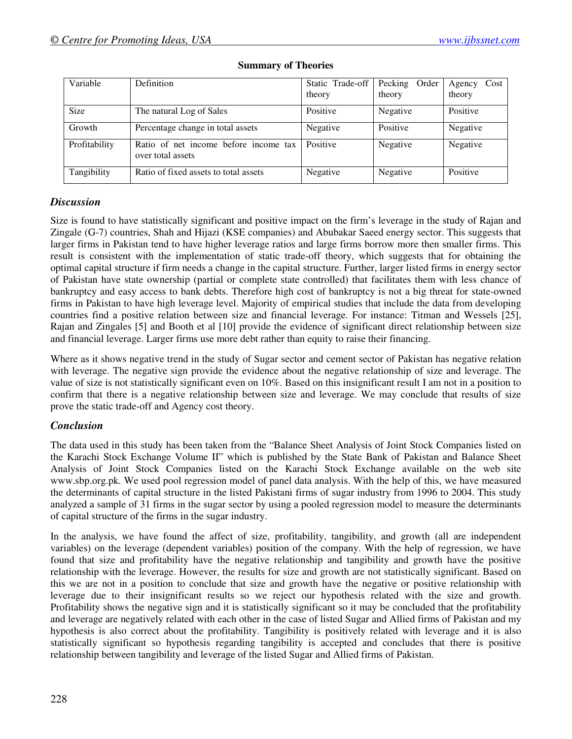| Variable      | Definition                                                 | Static Trade-off | Pecking<br>Order | Agency<br>Cost |
|---------------|------------------------------------------------------------|------------------|------------------|----------------|
|               |                                                            | theory           | theory           | theory         |
| <b>Size</b>   | The natural Log of Sales                                   | Positive         | Negative         | Positive       |
| Growth        | Percentage change in total assets                          | Negative         | Positive         | Negative       |
| Profitability | Ratio of net income before income tax<br>over total assets | Positive         | Negative         | Negative       |
| Tangibility   | Ratio of fixed assets to total assets                      | Negative         | Negative         | Positive       |

#### **Summary of Theories**

# *Discussion*

Size is found to have statistically significant and positive impact on the firm's leverage in the study of Rajan and Zingale (G-7) countries, Shah and Hijazi (KSE companies) and Abubakar Saeed energy sector. This suggests that larger firms in Pakistan tend to have higher leverage ratios and large firms borrow more then smaller firms. This result is consistent with the implementation of static trade-off theory, which suggests that for obtaining the optimal capital structure if firm needs a change in the capital structure. Further, larger listed firms in energy sector of Pakistan have state ownership (partial or complete state controlled) that facilitates them with less chance of bankruptcy and easy access to bank debts. Therefore high cost of bankruptcy is not a big threat for state-owned firms in Pakistan to have high leverage level. Majority of empirical studies that include the data from developing countries find a positive relation between size and financial leverage. For instance: Titman and Wessels [25], Rajan and Zingales [5] and Booth et al [10] provide the evidence of significant direct relationship between size and financial leverage. Larger firms use more debt rather than equity to raise their financing.

Where as it shows negative trend in the study of Sugar sector and cement sector of Pakistan has negative relation with leverage. The negative sign provide the evidence about the negative relationship of size and leverage. The value of size is not statistically significant even on 10%. Based on this insignificant result I am not in a position to confirm that there is a negative relationship between size and leverage. We may conclude that results of size prove the static trade-off and Agency cost theory.

# *Conclusion*

The data used in this study has been taken from the "Balance Sheet Analysis of Joint Stock Companies listed on the Karachi Stock Exchange Volume II" which is published by the State Bank of Pakistan and Balance Sheet Analysis of Joint Stock Companies listed on the Karachi Stock Exchange available on the web site www.sbp.org.pk. We used pool regression model of panel data analysis. With the help of this, we have measured the determinants of capital structure in the listed Pakistani firms of sugar industry from 1996 to 2004. This study analyzed a sample of 31 firms in the sugar sector by using a pooled regression model to measure the determinants of capital structure of the firms in the sugar industry.

In the analysis, we have found the affect of size, profitability, tangibility, and growth (all are independent variables) on the leverage (dependent variables) position of the company. With the help of regression, we have found that size and profitability have the negative relationship and tangibility and growth have the positive relationship with the leverage. However, the results for size and growth are not statistically significant. Based on this we are not in a position to conclude that size and growth have the negative or positive relationship with leverage due to their insignificant results so we reject our hypothesis related with the size and growth. Profitability shows the negative sign and it is statistically significant so it may be concluded that the profitability and leverage are negatively related with each other in the case of listed Sugar and Allied firms of Pakistan and my hypothesis is also correct about the profitability. Tangibility is positively related with leverage and it is also statistically significant so hypothesis regarding tangibility is accepted and concludes that there is positive relationship between tangibility and leverage of the listed Sugar and Allied firms of Pakistan.